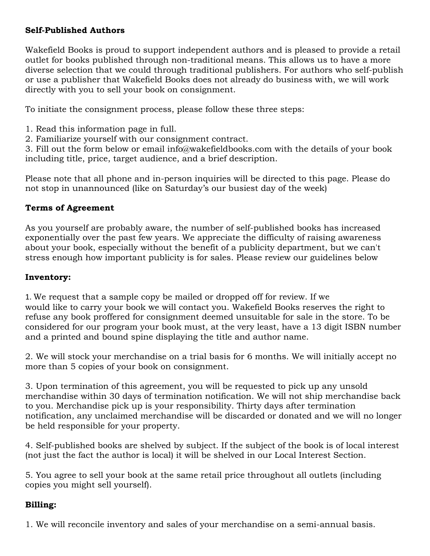### Self-Published Authors

Wakefield Books is proud to support independent authors and is pleased to provide a retail outlet for books published through non-traditional means. This allows us to have a more diverse selection that we could through traditional publishers. For authors who self-publish or use a publisher that Wakefield Books does not already do business with, we will work directly with you to sell your book on consignment.

To initiate the consignment process, please follow these three steps:

- 1. Read this information page in full.
- 2. Familiarize yourself with our consignment contract.

3. Fill out the form below or email info@wakefieldbooks.com with the details of your book including title, price, target audience, and a brief description.

Please note that all phone and in-person inquiries will be directed to this page. Please do not stop in unannounced (like on Saturday's our busiest day of the week)

# Terms of Agreement

As you yourself are probably aware, the number of self-published books has increased exponentially over the past few years. We appreciate the difficulty of raising awareness about your book, especially without the benefit of a publicity department, but we can't stress enough how important publicity is for sales. Please review our guidelines below

### Inventory:

1. We request that a sample copy be mailed or dropped off for review. If we would like to carry your book we will contact you. Wakefield Books reserves the right to refuse any book proffered for consignment deemed unsuitable for sale in the store. To be considered for our program your book must, at the very least, have a 13 digit ISBN number and a printed and bound spine displaying the title and author name.

2. We will stock your merchandise on a trial basis for 6 months. We will initially accept no more than 5 copies of your book on consignment.

3. Upon termination of this agreement, you will be requested to pick up any unsold merchandise within 30 days of termination notification. We will not ship merchandise back to you. Merchandise pick up is your responsibility. Thirty days after termination notification, any unclaimed merchandise will be discarded or donated and we will no longer be held responsible for your property.

4. Self-published books are shelved by subject. If the subject of the book is of local interest (not just the fact the author is local) it will be shelved in our Local Interest Section.

5. You agree to sell your book at the same retail price throughout all outlets (including copies you might sell yourself).

# Billing:

1. We will reconcile inventory and sales of your merchandise on a semi-annual basis.